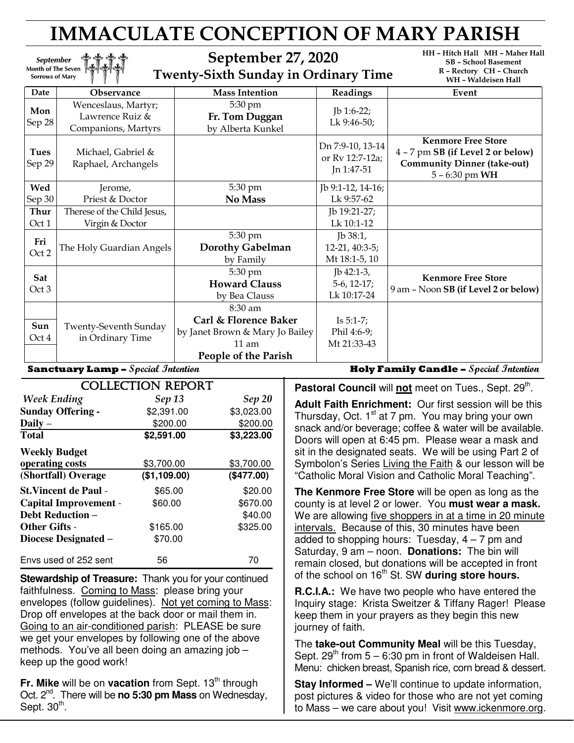# IMMACULATE CONCEPTION OF MARY PARISH

September 27, 2020 Twenty-Sixth Sunday in Ordinary Time HH – Hitch Hall MH – Maher Hall SB – School Basement R – Rectory CH – Church WH – Waldeisen Hall

| Date                                      | <b>Observance</b>                                             | <b>Mass Intention</b>                                                          | Readings                                          | Event                                                                                                                    |
|-------------------------------------------|---------------------------------------------------------------|--------------------------------------------------------------------------------|---------------------------------------------------|--------------------------------------------------------------------------------------------------------------------------|
| Mon<br>Sep 28                             | Wenceslaus, Martyr;<br>Lawrence Ruiz &<br>Companions, Martyrs | 5:30 pm<br>Fr. Tom Duggan<br>by Alberta Kunkel                                 | Jb 1:6-22;<br>Lk 9:46-50;                         |                                                                                                                          |
| <b>Tues</b><br>Sep 29                     | Michael, Gabriel &<br>Raphael, Archangels                     |                                                                                | Dn 7:9-10, 13-14<br>or Rv 12:7-12a;<br>Jn 1:47-51 | <b>Kenmore Free Store</b><br>4 - 7 pm SB (if Level 2 or below)<br><b>Community Dinner (take-out)</b><br>$5 - 6:30$ pm WH |
| Wed                                       | Jerome,                                                       | 5:30 pm                                                                        | Jb 9:1-12, 14-16;                                 |                                                                                                                          |
| Sep 30                                    | Priest & Doctor                                               | No Mass                                                                        | Lk 9:57-62                                        |                                                                                                                          |
| Thur                                      | Therese of the Child Jesus,                                   |                                                                                | Jb 19:21-27;                                      |                                                                                                                          |
| Oct 1                                     | Virgin & Doctor                                               |                                                                                | Lk 10:1-12                                        |                                                                                                                          |
| Fri<br>Oct 2                              | The Holy Guardian Angels                                      | 5:30 pm<br><b>Dorothy Gabelman</b><br>by Family                                | $Jb$ 38:1,<br>$12-21, 40:3-5;$<br>Mt 18:1-5, 10   |                                                                                                                          |
| Sat<br>Oct 3                              |                                                               | 5:30 pm<br><b>Howard Clauss</b><br>by Bea Clauss                               | $Ib$ 42:1-3,<br>$5-6$ , 12-17;<br>Lk 10:17-24     | <b>Kenmore Free Store</b><br>9 am - Noon SB (if Level 2 or below)                                                        |
| Sun<br>Oct 4                              | Twenty-Seventh Sunday<br>in Ordinary Time                     | 8:30 am<br>Carl & Florence Baker<br>by Janet Brown & Mary Jo Bailey<br>$11$ am | Is $5:1-7$ ;<br>Phil 4:6-9;<br>Mt 21:33-43        |                                                                                                                          |
|                                           |                                                               | People of the Parish                                                           |                                                   |                                                                                                                          |
| <b>Sanctuary Lamp -</b> Special Intention |                                                               |                                                                                |                                                   | <b>Holy Family Candle -</b> Special Intention                                                                            |

ľ

**September** Month of The Seven **Sorrows of Mary** 

|                              | <b>COLLECTION REPORT</b> |               |
|------------------------------|--------------------------|---------------|
| <b>Week Ending</b>           | <b>Sep 13</b>            | <b>Sep 20</b> |
| <b>Sunday Offering -</b>     | \$2,391.00               | \$3,023.00    |
| Daily $-$                    | \$200.00                 | \$200.00      |
| <b>Total</b>                 | \$2,591.00               | \$3,223.00    |
| <b>Weekly Budget</b>         |                          |               |
| operating costs              | \$3,700.00               | \$3,700.00    |
| (Shortfall) Overage          | (\$1,109.00)             | (\$477.00)    |
| <b>St. Vincent de Paul -</b> | \$65.00                  | \$20.00       |
| <b>Capital Improvement -</b> | \$60.00                  | \$670.00      |
| <b>Debt Reduction –</b>      |                          | \$40.00       |
| <b>Other Gifts -</b>         | \$165.00                 | \$325.00      |
| Diocese Designated –         | \$70.00                  |               |
| Envs used of 252 sent        | 56                       | 70            |

**Stewardship of Treasure:** Thank you for your continued faithfulness. Coming to Mass: please bring your envelopes (follow guidelines). Not yet coming to Mass: Drop off envelopes at the back door or mail them in. Going to an air-conditioned parish: PLEASE be sure we get your envelopes by following one of the above methods. You've all been doing an amazing job – keep up the good work!

Fr. Mike will be on vacation from Sept. 13<sup>th</sup> through Oct. 2nd. There will be **no 5:30 pm Mass** on Wednesday, Sept.  $30<sup>th</sup>$ .

Pastoral Council will not meet on Tues., Sept. 29<sup>th</sup>.

**Adult Faith Enrichment:** Our first session will be this Thursday, Oct. 1<sup>st</sup> at 7 pm. You may bring your own snack and/or beverage; coffee & water will be available. Doors will open at 6:45 pm. Please wear a mask and sit in the designated seats. We will be using Part 2 of Symbolon's Series Living the Faith & our lesson will be "Catholic Moral Vision and Catholic Moral Teaching".

**The Kenmore Free Store** will be open as long as the county is at level 2 or lower. You **must wear a mask.** We are allowing five shoppers in at a time in 20 minute intervals. Because of this, 30 minutes have been added to shopping hours: Tuesday,  $4 - 7$  pm and Saturday, 9 am – noon. **Donations:** The bin will remain closed, but donations will be accepted in front of the school on 16<sup>th</sup> St. SW during store hours.

**R.C.I.A.:** We have two people who have entered the Inquiry stage: Krista Sweitzer & Tiffany Rager! Please keep them in your prayers as they begin this new journey of faith.

The **take-out Community Meal** will be this Tuesday, Sept.  $29^{th}$  from  $5 - 6:30$  pm in front of Waldeisen Hall. Menu: chicken breast, Spanish rice, corn bread & dessert.

**Stay Informed –** We'll continue to update information, post pictures & video for those who are not yet coming to Mass – we care about you! Visit www.ickenmore.org.